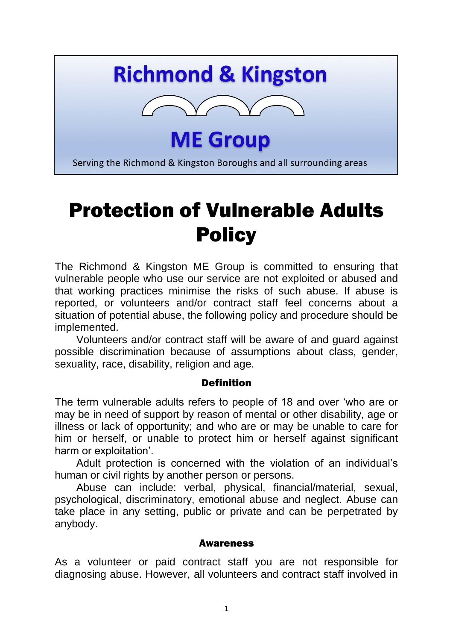# **Richmond & Kingston**



**ME Group** 

Serving the Richmond & Kingston Boroughs and all surrounding areas

# Protection of Vulnerable Adults **Policy**

The Richmond & Kingston ME Group is committed to ensuring that vulnerable people who use our service are not exploited or abused and that working practices minimise the risks of such abuse. If abuse is reported, or volunteers and/or contract staff feel concerns about a situation of potential abuse, the following policy and procedure should be implemented.

Volunteers and/or contract staff will be aware of and guard against possible discrimination because of assumptions about class, gender, sexuality, race, disability, religion and age.

#### Definition

The term vulnerable adults refers to people of 18 and over 'who are or may be in need of support by reason of mental or other disability, age or illness or lack of opportunity; and who are or may be unable to care for him or herself, or unable to protect him or herself against significant harm or exploitation'.

Adult protection is concerned with the violation of an individual's human or civil rights by another person or persons.

Abuse can include: verbal, physical, financial/material, sexual, psychological, discriminatory, emotional abuse and neglect. Abuse can take place in any setting, public or private and can be perpetrated by anybody.

#### Awareness

As a volunteer or paid contract staff you are not responsible for diagnosing abuse. However, all volunteers and contract staff involved in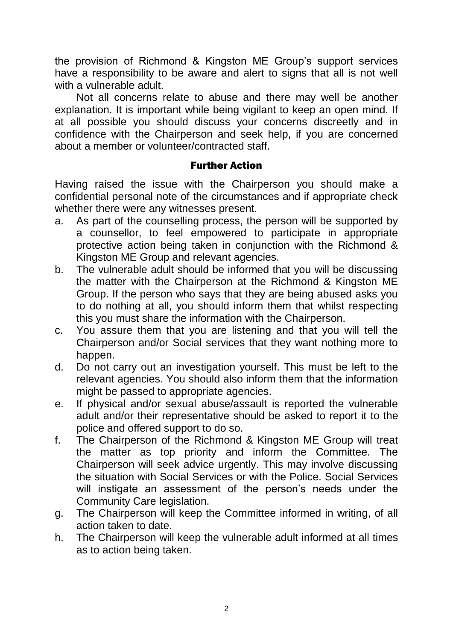the provision of Richmond & Kingston ME Group's support services have a responsibility to be aware and alert to signs that all is not well with a vulnerable adult.

Not all concerns relate to abuse and there may well be another explanation. It is important while being vigilant to keep an open mind. If at all possible you should discuss your concerns discreetly and in confidence with the Chairperson and seek help, if you are concerned about a member or volunteer/contracted staff.

#### Further Action

Having raised the issue with the Chairperson you should make a confidential personal note of the circumstances and if appropriate check whether there were any witnesses present.

- a. As part of the counselling process, the person will be supported by a counsellor, to feel empowered to participate in appropriate protective action being taken in conjunction with the Richmond & Kingston ME Group and relevant agencies.
- b. The vulnerable adult should be informed that you will be discussing the matter with the Chairperson at the Richmond & Kingston ME Group. If the person who says that they are being abused asks you to do nothing at all, you should inform them that whilst respecting this you must share the information with the Chairperson.
- c. You assure them that you are listening and that you will tell the Chairperson and/or Social services that they want nothing more to happen.
- d. Do not carry out an investigation yourself. This must be left to the relevant agencies. You should also inform them that the information might be passed to appropriate agencies.
- e. If physical and/or sexual abuse/assault is reported the vulnerable adult and/or their representative should be asked to report it to the police and offered support to do so.
- f. The Chairperson of the Richmond & Kingston ME Group will treat the matter as top priority and inform the Committee. The Chairperson will seek advice urgently. This may involve discussing the situation with Social Services or with the Police. Social Services will instigate an assessment of the person's needs under the Community Care legislation.
- g. The Chairperson will keep the Committee informed in writing, of all action taken to date.
- h. The Chairperson will keep the vulnerable adult informed at all times as to action being taken.